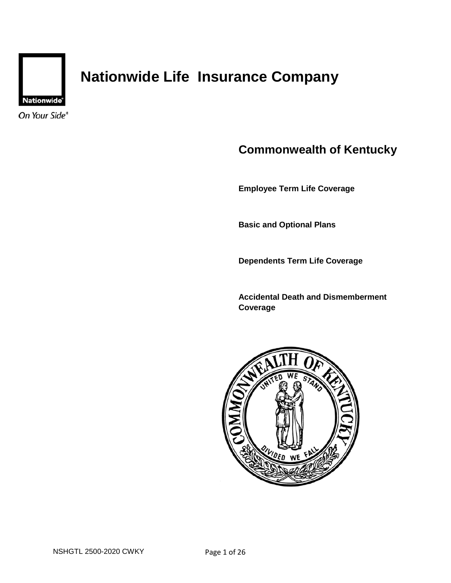

# **Nationwide Life Insurance Company**

On Your Side®

# **Commonwealth of Kentucky**

**Employee Term Life Coverage** 

**Basic and Optional Plans** 

**Dependents Term Life Coverage** 

**Accidental Death and Dismemberment Coverage** 

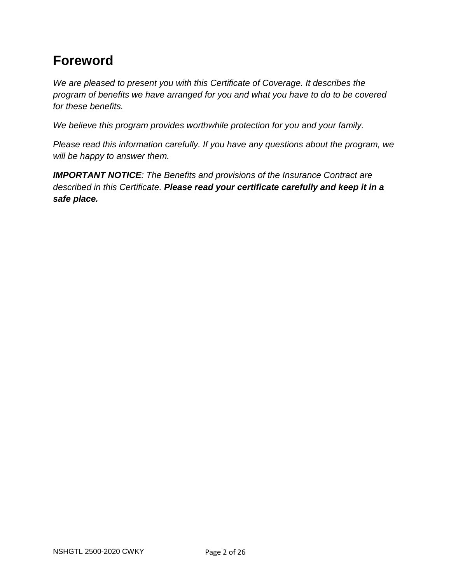# **Foreword**

*We are pleased to present you with this Certificate of Coverage. It describes the program of benefits we have arranged for you and what you have to do to be covered for these benefits.* 

*We believe this program provides worthwhile protection for you and your family.* 

*Please read this information carefully. If you have any questions about the program, we will be happy to answer them.* 

*IMPORTANT NOTICE: The Benefits and provisions of the Insurance Contract are described in this Certificate. Please read your certificate carefully and keep it in a safe place.*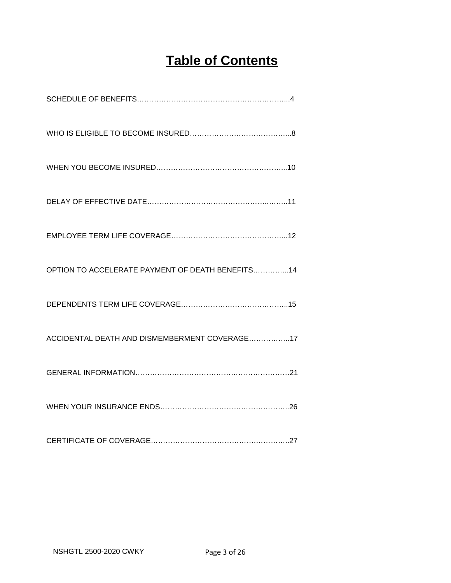# **Table of Contents**

| OPTION TO ACCELERATE PAYMENT OF DEATH BENEFITS14 |
|--------------------------------------------------|
|                                                  |
| ACCIDENTAL DEATH AND DISMEMBERMENT COVERAGE17    |
|                                                  |
|                                                  |
|                                                  |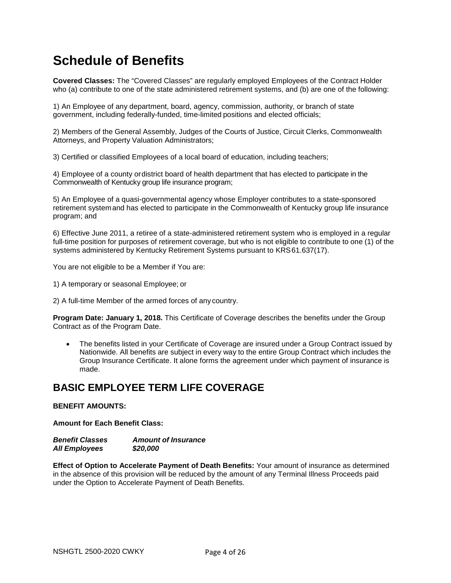# **Schedule of Benefits**

**Covered Classes:** The "Covered Classes" are regularly employed Employees of the Contract Holder who (a) contribute to one of the state administered retirement systems, and (b) are one of the following:

1) An Employee of any department, board, agency, commission, authority, or branch of state government, including federally-funded, time-limited positions and elected officials;

2) Members of the General Assembly, Judges of the Courts of Justice, Circuit Clerks, Commonwealth Attorneys, and Property Valuation Administrators;

3) Certified or classified Employees of a local board of education, including teachers;

4) Employee of a county or district board of health department that has elected to participate in the Commonwealth of Kentucky group life insurance program;

5) An Employee of a quasi-governmental agency whose Employer contributes to a state-sponsored retirement system and has elected to participate in the Commonwealth of Kentucky group life insurance program; and

6) Effective June 2011, a retiree of a state-administered retirement system who is employed in a regular full-time position for purposes of retirement coverage, but who is not eligible to contribute to one (1) of the systems administered by Kentucky Retirement Systems pursuant to KRS 61.637(17).

You are not eligible to be a Member if You are:

- 1) A temporary or seasonal Employee; or
- 2) A full-time Member of the armed forces of any country.

**Program Date: January 1, 2018.** This Certificate of Coverage describes the benefits under the Group Contract as of the Program Date.

 The benefits listed in your Certificate of Coverage are insured under a Group Contract issued by Nationwide. All benefits are subject in every way to the entire Group Contract which includes the Group Insurance Certificate. It alone forms the agreement under which payment of insurance is made.

### **BASIC EMPLOYEE TERM LIFE COVERAGE**

#### **BENEFIT AMOUNTS:**

**Amount for Each Benefit Class:** 

| <b>Benefit Classes</b> | <b>Amount of Insurance</b> |
|------------------------|----------------------------|
| <b>All Employees</b>   | \$20,000                   |

**Effect of Option to Accelerate Payment of Death Benefits:** Your amount of insurance as determined in the absence of this provision will be reduced by the amount of any Terminal Illness Proceeds paid under the Option to Accelerate Payment of Death Benefits.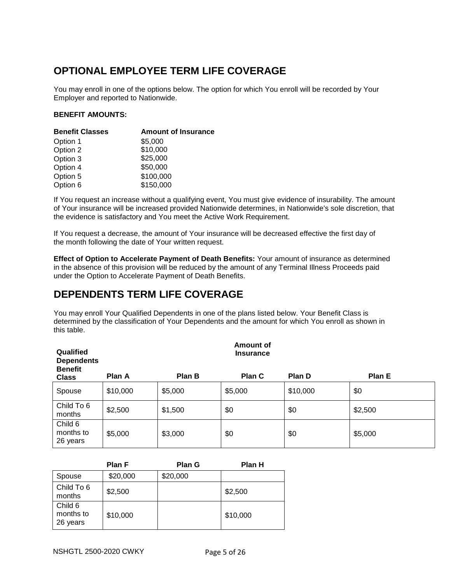## **OPTIONAL EMPLOYEE TERM LIFE COVERAGE**

You may enroll in one of the options below. The option for which You enroll will be recorded by Your Employer and reported to Nationwide.

### **BENEFIT AMOUNTS:**

| <b>Benefit Classes</b> | <b>Amount of Insurance</b> |
|------------------------|----------------------------|
| Option 1               | \$5,000                    |
| Option 2               | \$10,000                   |
| Option 3               | \$25,000                   |
| Option 4               | \$50,000                   |
| Option 5               | \$100,000                  |
| Option 6               | \$150,000                  |

If You request an increase without a qualifying event, You must give evidence of insurability. The amount of Your insurance will be increased provided Nationwide determines, in Nationwide's sole discretion, that the evidence is satisfactory and You meet the Active Work Requirement.

If You request a decrease, the amount of Your insurance will be decreased effective the first day of the month following the date of Your written request.

**Effect of Option to Accelerate Payment of Death Benefits:** Your amount of insurance as determined in the absence of this provision will be reduced by the amount of any Terminal Illness Proceeds paid under the Option to Accelerate Payment of Death Benefits.

## **DEPENDENTS TERM LIFE COVERAGE**

You may enroll Your Qualified Dependents in one of the plans listed below. Your Benefit Class is determined by the classification of Your Dependents and the amount for which You enroll as shown in this table.

| <b>Amount of</b><br>Qualified<br><b>Insurance</b><br><b>Dependents</b><br><b>Benefit</b> |          |         |         |          |         |
|------------------------------------------------------------------------------------------|----------|---------|---------|----------|---------|
| <b>Class</b>                                                                             | Plan A   | Plan B  | Plan C  | Plan D   | Plan E  |
| Spouse                                                                                   | \$10,000 | \$5,000 | \$5,000 | \$10,000 | \$0     |
| Child To 6<br>months                                                                     | \$2,500  | \$1,500 | \$0     | \$0      | \$2,500 |
| Child 6<br>months to<br>26 years                                                         | \$5,000  | \$3,000 | \$0     | \$0      | \$5,000 |

|                                  | <b>Plan F</b> | <b>Plan G</b> | Plan H   |
|----------------------------------|---------------|---------------|----------|
| Spouse                           | \$20,000      | \$20,000      |          |
| Child To 6<br>months             | \$2,500       |               | \$2,500  |
| Child 6<br>months to<br>26 years | \$10,000      |               | \$10,000 |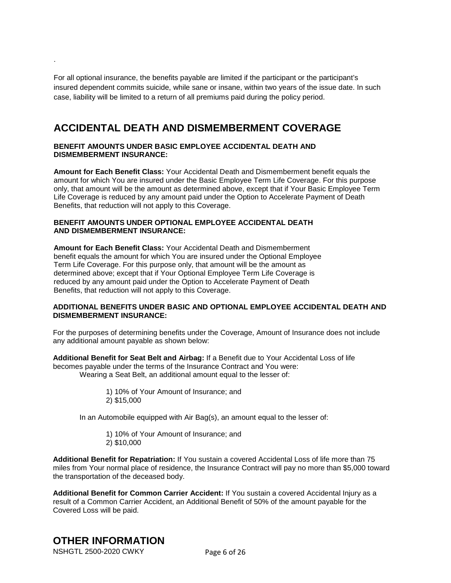For all optional insurance, the benefits payable are limited if the participant or the participant's insured dependent commits suicide, while sane or insane, within two years of the issue date. In such case, liability will be limited to a return of all premiums paid during the policy period.

### **ACCIDENTAL DEATH AND DISMEMBERMENT COVERAGE**

#### **BENEFIT AMOUNTS UNDER BASIC EMPLOYEE ACCIDENTAL DEATH AND DISMEMBERMENT INSURANCE:**

**Amount for Each Benefit Class:** Your Accidental Death and Dismemberment benefit equals the amount for which You are insured under the Basic Employee Term Life Coverage. For this purpose only, that amount will be the amount as determined above, except that if Your Basic Employee Term Life Coverage is reduced by any amount paid under the Option to Accelerate Payment of Death Benefits, that reduction will not apply to this Coverage.

#### **BENEFIT AMOUNTS UNDER OPTIONAL EMPLOYEE ACCIDENTAL DEATH AND DISMEMBERMENT INSURANCE:**

**Amount for Each Benefit Class:** Your Accidental Death and Dismemberment benefit equals the amount for which You are insured under the Optional Employee Term Life Coverage. For this purpose only, that amount will be the amount as determined above; except that if Your Optional Employee Term Life Coverage is reduced by any amount paid under the Option to Accelerate Payment of Death Benefits, that reduction will not apply to this Coverage.

#### **ADDITIONAL BENEFITS UNDER BASIC AND OPTIONAL EMPLOYEE ACCIDENTAL DEATH AND DISMEMBERMENT INSURANCE:**

For the purposes of determining benefits under the Coverage, Amount of Insurance does not include any additional amount payable as shown below:

**Additional Benefit for Seat Belt and Airbag:** If a Benefit due to Your Accidental Loss of life becomes payable under the terms of the Insurance Contract and You were: Wearing a Seat Belt, an additional amount equal to the lesser of:

> 1) 10% of Your Amount of Insurance; and 2) \$15,000

In an Automobile equipped with Air Bag(s), an amount equal to the lesser of:

1) 10% of Your Amount of Insurance; and 2) \$10,000

**Additional Benefit for Repatriation:** If You sustain a covered Accidental Loss of life more than 75 miles from Your normal place of residence, the Insurance Contract will pay no more than \$5,000 toward the transportation of the deceased body.

**Additional Benefit for Common Carrier Accident:** If You sustain a covered Accidental Injury as a result of a Common Carrier Accident, an Additional Benefit of 50% of the amount payable for the Covered Loss will be paid.

## **OTHER INFORMATION**

NSHGTL 2500-2020 CWKY Page 6 of 26

.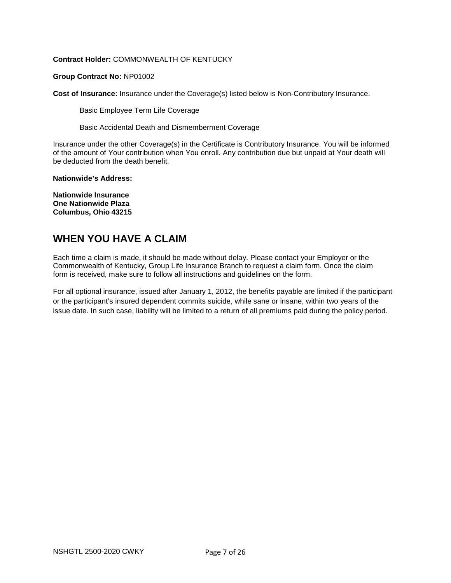### **Contract Holder:** COMMONWEALTH OF KENTUCKY

#### **Group Contract No:** NP01002

**Cost of Insurance:** Insurance under the Coverage(s) listed below is Non-Contributory Insurance.

Basic Employee Term Life Coverage

Basic Accidental Death and Dismemberment Coverage

Insurance under the other Coverage(s) in the Certificate is Contributory Insurance. You will be informed of the amount of Your contribution when You enroll. Any contribution due but unpaid at Your death will be deducted from the death benefit.

**Nationwide's Address:** 

**Nationwide Insurance One Nationwide Plaza Columbus, Ohio 43215** 

### **WHEN YOU HAVE A CLAIM**

Each time a claim is made, it should be made without delay. Please contact your Employer or the Commonwealth of Kentucky, Group Life Insurance Branch to request a claim form. Once the claim form is received, make sure to follow all instructions and guidelines on the form.

For all optional insurance, issued after January 1, 2012, the benefits payable are limited if the participant or the participant's insured dependent commits suicide, while sane or insane, within two years of the issue date. In such case, liability will be limited to a return of all premiums paid during the policy period.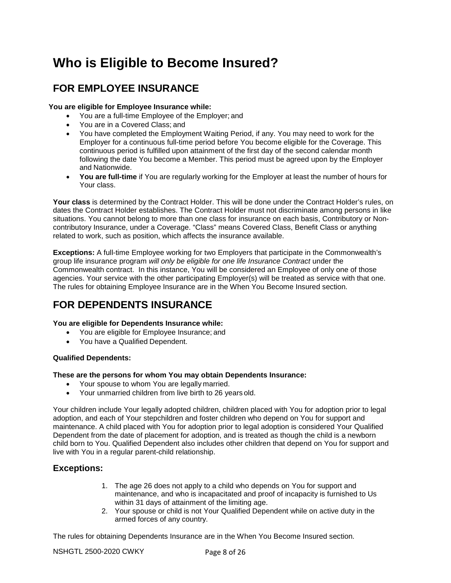# **Who is Eligible to Become Insured?**

### **FOR EMPLOYEE INSURANCE**

### **You are eligible for Employee Insurance while:**

- You are a full-time Employee of the Employer; and
- You are in a Covered Class; and
- You have completed the Employment Waiting Period, if any. You may need to work for the Employer for a continuous full-time period before You become eligible for the Coverage. This continuous period is fulfilled upon attainment of the first day of the second calendar month following the date You become a Member. This period must be agreed upon by the Employer and Nationwide.
- **You are full-time** if You are regularly working for the Employer at least the number of hours for Your class.

**Your class** is determined by the Contract Holder. This will be done under the Contract Holder's rules, on dates the Contract Holder establishes. The Contract Holder must not discriminate among persons in like situations. You cannot belong to more than one class for insurance on each basis, Contributory or Noncontributory Insurance, under a Coverage. "Class" means Covered Class, Benefit Class or anything related to work, such as position, which affects the insurance available.

**Exceptions:** A full-time Employee working for two Employers that participate in the Commonwealth's group life insurance program *will only be eligible for one life Insurance Contract* under the Commonwealth contract. In this instance, You will be considered an Employee of only one of those agencies. Your service with the other participating Employer(s) will be treated as service with that one. The rules for obtaining Employee Insurance are in the When You Become Insured section.

### **FOR DEPENDENTS INSURANCE**

#### **You are eligible for Dependents Insurance while:**

- You are eligible for Employee Insurance; and
- You have a Qualified Dependent.

#### **Qualified Dependents:**

#### **These are the persons for whom You may obtain Dependents Insurance:**

- Your spouse to whom You are legally married.
- Your unmarried children from live birth to 26 years old.

Your children include Your legally adopted children, children placed with You for adoption prior to legal adoption, and each of Your stepchildren and foster children who depend on You for support and maintenance. A child placed with You for adoption prior to legal adoption is considered Your Qualified Dependent from the date of placement for adoption, and is treated as though the child is a newborn child born to You. Qualified Dependent also includes other children that depend on You for support and live with You in a regular parent-child relationship.

### **Exceptions:**

- 1. The age 26 does not apply to a child who depends on You for support and maintenance, and who is incapacitated and proof of incapacity is furnished to Us within 31 days of attainment of the limiting age.
- 2. Your spouse or child is not Your Qualified Dependent while on active duty in the armed forces of any country.

The rules for obtaining Dependents Insurance are in the When You Become Insured section.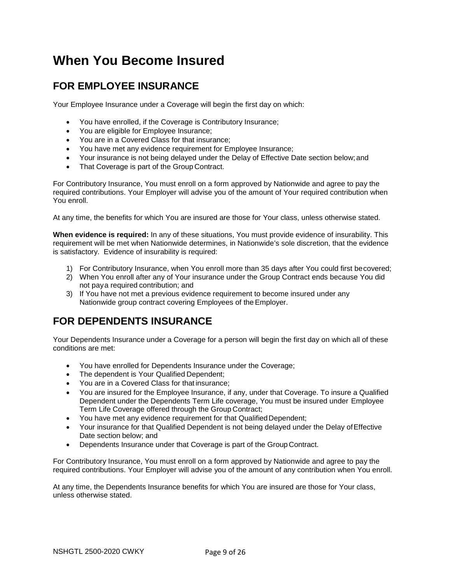# **When You Become Insured**

## **FOR EMPLOYEE INSURANCE**

Your Employee Insurance under a Coverage will begin the first day on which:

- You have enrolled, if the Coverage is Contributory Insurance;
- You are eligible for Employee Insurance;
- You are in a Covered Class for that insurance;
- You have met any evidence requirement for Employee Insurance;
- Your insurance is not being delayed under the Delay of Effective Date section below; and
- That Coverage is part of the Group Contract.

For Contributory Insurance, You must enroll on a form approved by Nationwide and agree to pay the required contributions. Your Employer will advise you of the amount of Your required contribution when You enroll.

At any time, the benefits for which You are insured are those for Your class, unless otherwise stated.

**When evidence is required:** In any of these situations, You must provide evidence of insurability. This requirement will be met when Nationwide determines, in Nationwide's sole discretion, that the evidence is satisfactory. Evidence of insurability is required:

- 1) For Contributory Insurance, when You enroll more than 35 days after You could first be covered;
- 2) When You enroll after any of Your insurance under the Group Contract ends because You did not pay a required contribution; and
- 3) If You have not met a previous evidence requirement to become insured under any Nationwide group contract covering Employees of the Employer.

## **FOR DEPENDENTS INSURANCE**

Your Dependents Insurance under a Coverage for a person will begin the first day on which all of these conditions are met:

- You have enrolled for Dependents Insurance under the Coverage;
- The dependent is Your Qualified Dependent;
- You are in a Covered Class for that insurance;
- You are insured for the Employee Insurance, if any, under that Coverage. To insure a Qualified Dependent under the Dependents Term Life coverage, You must be insured under Employee Term Life Coverage offered through the Group Contract;
- You have met any evidence requirement for that Qualified Dependent;
- Your insurance for that Qualified Dependent is not being delayed under the Delay of Effective Date section below; and
- Dependents Insurance under that Coverage is part of the Group Contract.

For Contributory Insurance, You must enroll on a form approved by Nationwide and agree to pay the required contributions. Your Employer will advise you of the amount of any contribution when You enroll.

At any time, the Dependents Insurance benefits for which You are insured are those for Your class, unless otherwise stated.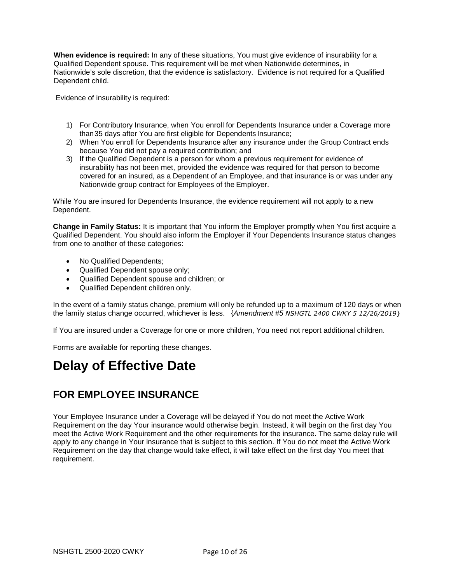**When evidence is required:** In any of these situations, You must give evidence of insurability for a Qualified Dependent spouse. This requirement will be met when Nationwide determines, in Nationwide's sole discretion, that the evidence is satisfactory. Evidence is not required for a Qualified Dependent child.

Evidence of insurability is required:

- 1) For Contributory Insurance, when You enroll for Dependents Insurance under a Coverage more than 35 days after You are first eligible for Dependents Insurance;
- 2) When You enroll for Dependents Insurance after any insurance under the Group Contract ends because You did not pay a required contribution; and
- 3) If the Qualified Dependent is a person for whom a previous requirement for evidence of insurability has not been met, provided the evidence was required for that person to become covered for an insured, as a Dependent of an Employee, and that insurance is or was under any Nationwide group contract for Employees of the Employer.

While You are insured for Dependents Insurance, the evidence requirement will not apply to a new Dependent.

**Change in Family Status:** It is important that You inform the Employer promptly when You first acquire a Qualified Dependent. You should also inform the Employer if Your Dependents Insurance status changes from one to another of these categories:

- No Qualified Dependents;
- Qualified Dependent spouse only;
- Qualified Dependent spouse and children; or
- Qualified Dependent children only.

In the event of a family status change, premium will only be refunded up to a maximum of 120 days or when the family status change occurred, whichever is less. {*Amendment #5 NSHGTL 2400 CWKY 5 12/26/2019*}

If You are insured under a Coverage for one or more children, You need not report additional children.

Forms are available for reporting these changes.

# **Delay of Effective Date**

### **FOR EMPLOYEE INSURANCE**

Your Employee Insurance under a Coverage will be delayed if You do not meet the Active Work Requirement on the day Your insurance would otherwise begin. Instead, it will begin on the first day You meet the Active Work Requirement and the other requirements for the insurance. The same delay rule will apply to any change in Your insurance that is subject to this section. If You do not meet the Active Work Requirement on the day that change would take effect, it will take effect on the first day You meet that requirement.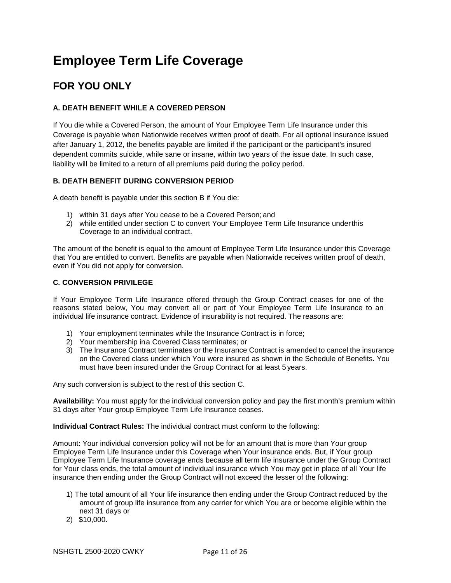# **Employee Term Life Coverage**

## **FOR YOU ONLY**

### **A. DEATH BENEFIT WHILE A COVERED PERSON**

If You die while a Covered Person, the amount of Your Employee Term Life Insurance under this Coverage is payable when Nationwide receives written proof of death. For all optional insurance issued after January 1, 2012, the benefits payable are limited if the participant or the participant's insured dependent commits suicide, while sane or insane, within two years of the issue date. In such case, liability will be limited to a return of all premiums paid during the policy period.

### **B. DEATH BENEFIT DURING CONVERSION PERIOD**

A death benefit is payable under this section B if You die:

- 1) within 31 days after You cease to be a Covered Person; and
- 2) while entitled under section C to convert Your Employee Term Life Insurance under this Coverage to an individual contract.

The amount of the benefit is equal to the amount of Employee Term Life Insurance under this Coverage that You are entitled to convert. Benefits are payable when Nationwide receives written proof of death, even if You did not apply for conversion.

### **C. CONVERSION PRIVILEGE**

If Your Employee Term Life Insurance offered through the Group Contract ceases for one of the reasons stated below, You may convert all or part of Your Employee Term Life Insurance to an individual life insurance contract. Evidence of insurability is not required. The reasons are:

- 1) Your employment terminates while the Insurance Contract is in force;
- 2) Your membership in a Covered Class terminates; or
- 3) The Insurance Contract terminates or the Insurance Contract is amended to cancel the insurance on the Covered class under which You were insured as shown in the Schedule of Benefits. You must have been insured under the Group Contract for at least 5 years.

Any such conversion is subject to the rest of this section C.

**Availability:** You must apply for the individual conversion policy and pay the first month's premium within 31 days after Your group Employee Term Life Insurance ceases.

**Individual Contract Rules:** The individual contract must conform to the following:

Amount: Your individual conversion policy will not be for an amount that is more than Your group Employee Term Life Insurance under this Coverage when Your insurance ends. But, if Your group Employee Term Life Insurance coverage ends because all term life insurance under the Group Contract for Your class ends, the total amount of individual insurance which You may get in place of all Your life insurance then ending under the Group Contract will not exceed the lesser of the following:

- 1) The total amount of all Your life insurance then ending under the Group Contract reduced by the amount of group life insurance from any carrier for which You are or become eligible within the next 31 days or
- 2) \$10,000.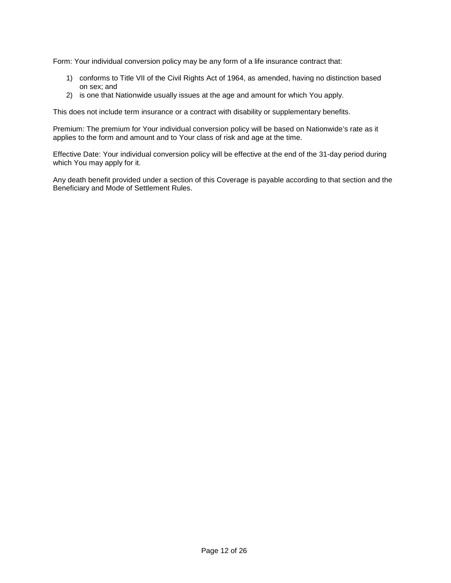Form: Your individual conversion policy may be any form of a life insurance contract that:

- 1) conforms to Title VII of the Civil Rights Act of 1964, as amended, having no distinction based on sex; and
- 2) is one that Nationwide usually issues at the age and amount for which You apply.

This does not include term insurance or a contract with disability or supplementary benefits.

Premium: The premium for Your individual conversion policy will be based on Nationwide's rate as it applies to the form and amount and to Your class of risk and age at the time.

Effective Date: Your individual conversion policy will be effective at the end of the 31-day period during which You may apply for it.

Any death benefit provided under a section of this Coverage is payable according to that section and the Beneficiary and Mode of Settlement Rules.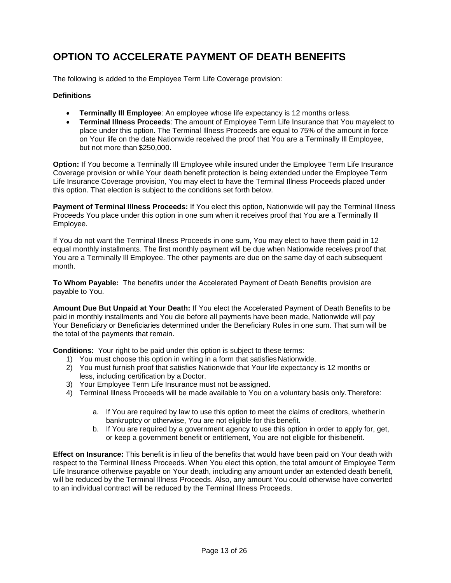## **OPTION TO ACCELERATE PAYMENT OF DEATH BENEFITS**

The following is added to the Employee Term Life Coverage provision:

### **Definitions**

- **Terminally Ill Employee**: An employee whose life expectancy is 12 months or less.
- **Terminal Illness Proceeds**: The amount of Employee Term Life Insurance that You may elect to place under this option. The Terminal Illness Proceeds are equal to 75% of the amount in force on Your life on the date Nationwide received the proof that You are a Terminally Ill Employee, but not more than \$250,000.

**Option:** If You become a Terminally Ill Employee while insured under the Employee Term Life Insurance Coverage provision or while Your death benefit protection is being extended under the Employee Term Life Insurance Coverage provision, You may elect to have the Terminal Illness Proceeds placed under this option. That election is subject to the conditions set forth below.

**Payment of Terminal Illness Proceeds:** If You elect this option, Nationwide will pay the Terminal Illness Proceeds You place under this option in one sum when it receives proof that You are a Terminally Ill Employee.

If You do not want the Terminal Illness Proceeds in one sum, You may elect to have them paid in 12 equal monthly installments. The first monthly payment will be due when Nationwide receives proof that You are a Terminally Ill Employee. The other payments are due on the same day of each subsequent month.

**To Whom Payable:** The benefits under the Accelerated Payment of Death Benefits provision are payable to You.

**Amount Due But Unpaid at Your Death:** If You elect the Accelerated Payment of Death Benefits to be paid in monthly installments and You die before all payments have been made, Nationwide will pay Your Beneficiary or Beneficiaries determined under the Beneficiary Rules in one sum. That sum will be the total of the payments that remain.

**Conditions:** Your right to be paid under this option is subject to these terms:

- 1) You must choose this option in writing in a form that satisfies Nationwide.
- 2) You must furnish proof that satisfies Nationwide that Your life expectancy is 12 months or less, including certification by a Doctor.
- 3) Your Employee Term Life Insurance must not be assigned.
- 4) Terminal Illness Proceeds will be made available to You on a voluntary basis only. Therefore:
	- a. If You are required by law to use this option to meet the claims of creditors, whether in bankruptcy or otherwise, You are not eligible for this benefit.
	- b. If You are required by a government agency to use this option in order to apply for, get, or keep a government benefit or entitlement, You are not eligible for this benefit.

**Effect on Insurance:** This benefit is in lieu of the benefits that would have been paid on Your death with respect to the Terminal Illness Proceeds. When You elect this option, the total amount of Employee Term Life Insurance otherwise payable on Your death, including any amount under an extended death benefit, will be reduced by the Terminal Illness Proceeds. Also, any amount You could otherwise have converted to an individual contract will be reduced by the Terminal Illness Proceeds.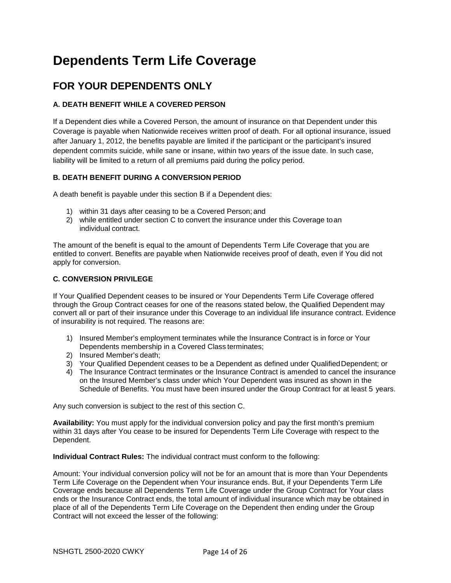# **Dependents Term Life Coverage**

## **FOR YOUR DEPENDENTS ONLY**

### **A. DEATH BENEFIT WHILE A COVERED PERSON**

If a Dependent dies while a Covered Person, the amount of insurance on that Dependent under this Coverage is payable when Nationwide receives written proof of death. For all optional insurance, issued after January 1, 2012, the benefits payable are limited if the participant or the participant's insured dependent commits suicide, while sane or insane, within two years of the issue date. In such case, liability will be limited to a return of all premiums paid during the policy period.

### **B. DEATH BENEFIT DURING A CONVERSION PERIOD**

A death benefit is payable under this section B if a Dependent dies:

- 1) within 31 days after ceasing to be a Covered Person; and
- 2) while entitled under section C to convert the insurance under this Coverage to an individual contract.

The amount of the benefit is equal to the amount of Dependents Term Life Coverage that you are entitled to convert. Benefits are payable when Nationwide receives proof of death, even if You did not apply for conversion.

### **C. CONVERSION PRIVILEGE**

If Your Qualified Dependent ceases to be insured or Your Dependents Term Life Coverage offered through the Group Contract ceases for one of the reasons stated below, the Qualified Dependent may convert all or part of their insurance under this Coverage to an individual life insurance contract. Evidence of insurability is not required. The reasons are:

- 1) Insured Member's employment terminates while the Insurance Contract is in force or Your Dependents membership in a Covered Class terminates;
- 2) Insured Member's death;
- 3) Your Qualified Dependent ceases to be a Dependent as defined under Qualified Dependent; or
- 4) The Insurance Contract terminates or the Insurance Contract is amended to cancel the insurance on the Insured Member's class under which Your Dependent was insured as shown in the Schedule of Benefits. You must have been insured under the Group Contract for at least 5 years.

Any such conversion is subject to the rest of this section C.

**Availability:** You must apply for the individual conversion policy and pay the first month's premium within 31 days after You cease to be insured for Dependents Term Life Coverage with respect to the Dependent.

**Individual Contract Rules:** The individual contract must conform to the following:

Amount: Your individual conversion policy will not be for an amount that is more than Your Dependents Term Life Coverage on the Dependent when Your insurance ends. But, if your Dependents Term Life Coverage ends because all Dependents Term Life Coverage under the Group Contract for Your class ends or the Insurance Contract ends, the total amount of individual insurance which may be obtained in place of all of the Dependents Term Life Coverage on the Dependent then ending under the Group Contract will not exceed the lesser of the following: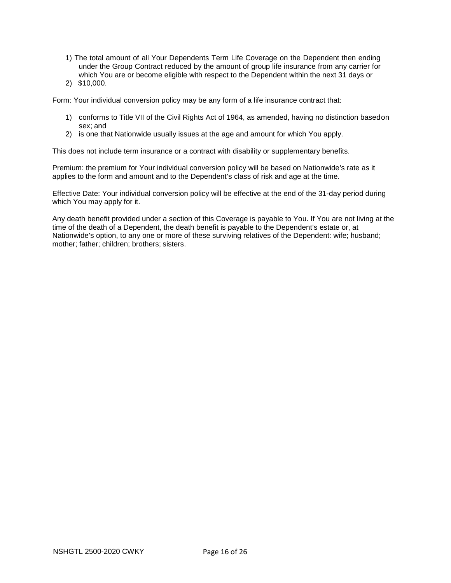- 1) The total amount of all Your Dependents Term Life Coverage on the Dependent then ending under the Group Contract reduced by the amount of group life insurance from any carrier for which You are or become eligible with respect to the Dependent within the next 31 days or
- 2) \$10,000.

Form: Your individual conversion policy may be any form of a life insurance contract that:

- 1) conforms to Title VII of the Civil Rights Act of 1964, as amended, having no distinction based on sex; and
- 2) is one that Nationwide usually issues at the age and amount for which You apply.

This does not include term insurance or a contract with disability or supplementary benefits.

Premium: the premium for Your individual conversion policy will be based on Nationwide's rate as it applies to the form and amount and to the Dependent's class of risk and age at the time.

Effective Date: Your individual conversion policy will be effective at the end of the 31-day period during which You may apply for it.

Any death benefit provided under a section of this Coverage is payable to You. If You are not living at the time of the death of a Dependent, the death benefit is payable to the Dependent's estate or, at Nationwide's option, to any one or more of these surviving relatives of the Dependent: wife; husband; mother; father; children; brothers; sisters.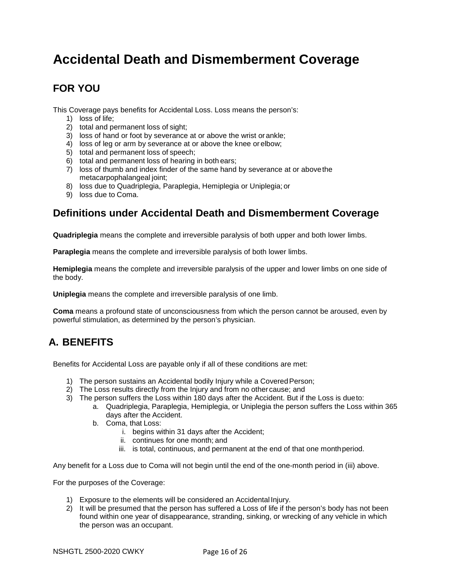# **Accidental Death and Dismemberment Coverage**

## **FOR YOU**

This Coverage pays benefits for Accidental Loss. Loss means the person's:

- 1) loss of life;
- 2) total and permanent loss of sight;
- 3) loss of hand or foot by severance at or above the wrist or ankle;
- 4) loss of leg or arm by severance at or above the knee or elbow;
- 5) total and permanent loss of speech;
- 6) total and permanent loss of hearing in both ears;
- 7) loss of thumb and index finder of the same hand by severance at or above the metacarpophalangeal joint;
- 8) loss due to Quadriplegia, Paraplegia, Hemiplegia or Uniplegia; or
- 9) loss due to Coma.

### **Definitions under Accidental Death and Dismemberment Coverage**

**Quadriplegia** means the complete and irreversible paralysis of both upper and both lower limbs.

**Paraplegia** means the complete and irreversible paralysis of both lower limbs.

**Hemiplegia** means the complete and irreversible paralysis of the upper and lower limbs on one side of the body.

**Uniplegia** means the complete and irreversible paralysis of one limb.

**Coma** means a profound state of unconsciousness from which the person cannot be aroused, even by powerful stimulation, as determined by the person's physician.

## **A. BENEFITS**

Benefits for Accidental Loss are payable only if all of these conditions are met:

- 1) The person sustains an Accidental bodily Injury while a Covered Person;
- 2) The Loss results directly from the Injury and from no other cause; and
- 3) The person suffers the Loss within 180 days after the Accident. But if the Loss is due to:
	- a. Quadriplegia, Paraplegia, Hemiplegia, or Uniplegia the person suffers the Loss within 365 days after the Accident.
		- b. Coma, that Loss:
			- i. begins within 31 days after the Accident;
			- ii. continues for one month; and
			- iii. is total, continuous, and permanent at the end of that one month period.

Any benefit for a Loss due to Coma will not begin until the end of the one-month period in (iii) above.

For the purposes of the Coverage:

- 1) Exposure to the elements will be considered an Accidental Injury.
- 2) It will be presumed that the person has suffered a Loss of life if the person's body has not been found within one year of disappearance, stranding, sinking, or wrecking of any vehicle in which the person was an occupant.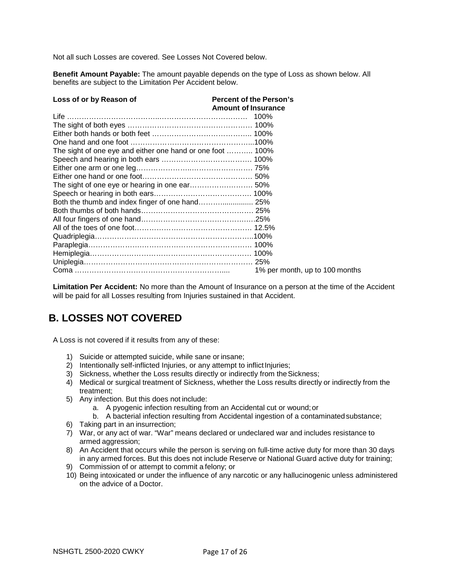Not all such Losses are covered. See Losses Not Covered below.

**Benefit Amount Payable:** The amount payable depends on the type of Loss as shown below. All benefits are subject to the Limitation Per Accident below.

| Loss of or by Reason of                                    | <b>Percent of the Person's</b> |
|------------------------------------------------------------|--------------------------------|
|                                                            | <b>Amount of Insurance</b>     |
|                                                            |                                |
|                                                            |                                |
|                                                            |                                |
|                                                            |                                |
| The sight of one eye and either one hand or one foot  100% |                                |
|                                                            |                                |
|                                                            |                                |
|                                                            |                                |
|                                                            |                                |
|                                                            |                                |
|                                                            |                                |
|                                                            |                                |
|                                                            |                                |
|                                                            |                                |
|                                                            |                                |
|                                                            |                                |
|                                                            |                                |
|                                                            |                                |
|                                                            | 1% per month, up to 100 months |

**Limitation Per Accident:** No more than the Amount of Insurance on a person at the time of the Accident will be paid for all Losses resulting from Injuries sustained in that Accident.

## **B. LOSSES NOT COVERED**

A Loss is not covered if it results from any of these:

- 1) Suicide or attempted suicide, while sane or insane;
- 2) Intentionally self-inflicted Injuries, or any attempt to inflict Injuries;
- 3) Sickness, whether the Loss results directly or indirectly from the Sickness;
- 4) Medical or surgical treatment of Sickness, whether the Loss results directly or indirectly from the treatment;
- 5) Any infection. But this does not include:
	- a. A pyogenic infection resulting from an Accidental cut or wound; or
	- b. A bacterial infection resulting from Accidental ingestion of a contaminated substance;
- 6) Taking part in an insurrection;
- 7) War, or any act of war. "War" means declared or undeclared war and includes resistance to armed aggression;
- 8) An Accident that occurs while the person is serving on full-time active duty for more than 30 days in any armed forces. But this does not include Reserve or National Guard active duty for training;
- 9) Commission of or attempt to commit a felony; or
- 10) Being intoxicated or under the influence of any narcotic or any hallucinogenic unless administered on the advice of a Doctor.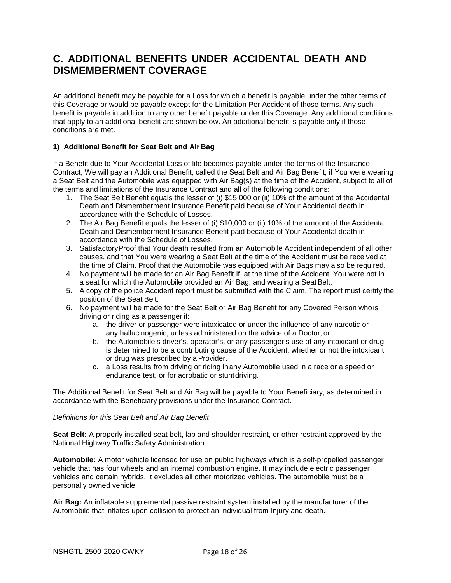### **C. ADDITIONAL BENEFITS UNDER ACCIDENTAL DEATH AND DISMEMBERMENT COVERAGE**

An additional benefit may be payable for a Loss for which a benefit is payable under the other terms of this Coverage or would be payable except for the Limitation Per Accident of those terms. Any such benefit is payable in addition to any other benefit payable under this Coverage. Any additional conditions that apply to an additional benefit are shown below. An additional benefit is payable only if those conditions are met.

### **1) Additional Benefit for Seat Belt and Air Bag**

If a Benefit due to Your Accidental Loss of life becomes payable under the terms of the Insurance Contract, We will pay an Additional Benefit, called the Seat Belt and Air Bag Benefit, if You were wearing a Seat Belt and the Automobile was equipped with Air Bag(s) at the time of the Accident, subject to all of the terms and limitations of the Insurance Contract and all of the following conditions:

- 1. The Seat Belt Benefit equals the lesser of (i) \$15,000 or (ii) 10% of the amount of the Accidental Death and Dismemberment Insurance Benefit paid because of Your Accidental death in accordance with the Schedule of Losses.
- 2. The Air Bag Benefit equals the lesser of (i) \$10,000 or (ii) 10% of the amount of the Accidental Death and Dismemberment Insurance Benefit paid because of Your Accidental death in accordance with the Schedule of Losses.
- 3. Satisfactory Proof that Your death resulted from an Automobile Accident independent of all other causes, and that You were wearing a Seat Belt at the time of the Accident must be received at the time of Claim. Proof that the Automobile was equipped with Air Bags may also be required.
- 4. No payment will be made for an Air Bag Benefit if, at the time of the Accident, You were not in a seat for which the Automobile provided an Air Bag, and wearing a Seat Belt.
- 5. A copy of the police Accident report must be submitted with the Claim. The report must certify the position of the Seat Belt.
- 6. No payment will be made for the Seat Belt or Air Bag Benefit for any Covered Person who is driving or riding as a passenger if:
	- a. the driver or passenger were intoxicated or under the influence of any narcotic or any hallucinogenic, unless administered on the advice of a Doctor; or
	- b. the Automobile's driver's, operator's, or any passenger's use of any intoxicant or drug is determined to be a contributing cause of the Accident, whether or not the intoxicant or drug was prescribed by a Provider.
	- c. a Loss results from driving or riding in any Automobile used in a race or a speed or endurance test, or for acrobatic or stunt driving.

The Additional Benefit for Seat Belt and Air Bag will be payable to Your Beneficiary, as determined in accordance with the Beneficiary provisions under the Insurance Contract.

#### *Definitions for this Seat Belt and Air Bag Benefit*

**Seat Belt:** A properly installed seat belt, lap and shoulder restraint, or other restraint approved by the National Highway Traffic Safety Administration.

**Automobile:** A motor vehicle licensed for use on public highways which is a self-propelled passenger vehicle that has four wheels and an internal combustion engine. It may include electric passenger vehicles and certain hybrids. It excludes all other motorized vehicles. The automobile must be a personally owned vehicle.

**Air Bag:** An inflatable supplemental passive restraint system installed by the manufacturer of the Automobile that inflates upon collision to protect an individual from Injury and death.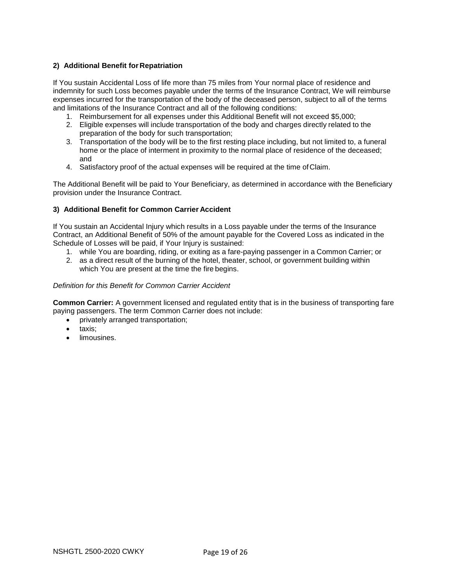### **2) Additional Benefit for Repatriation**

If You sustain Accidental Loss of life more than 75 miles from Your normal place of residence and indemnity for such Loss becomes payable under the terms of the Insurance Contract, We will reimburse expenses incurred for the transportation of the body of the deceased person, subject to all of the terms and limitations of the Insurance Contract and all of the following conditions:

- 1. Reimbursement for all expenses under this Additional Benefit will not exceed \$5,000;
- 2. Eligible expenses will include transportation of the body and charges directly related to the preparation of the body for such transportation;
- 3. Transportation of the body will be to the first resting place including, but not limited to, a funeral home or the place of interment in proximity to the normal place of residence of the deceased; and
- 4. Satisfactory proof of the actual expenses will be required at the time of Claim.

The Additional Benefit will be paid to Your Beneficiary, as determined in accordance with the Beneficiary provision under the Insurance Contract.

### **3) Additional Benefit for Common Carrier Accident**

If You sustain an Accidental Injury which results in a Loss payable under the terms of the Insurance Contract, an Additional Benefit of 50% of the amount payable for the Covered Loss as indicated in the Schedule of Losses will be paid, if Your Injury is sustained:

- 1. while You are boarding, riding, or exiting as a fare-paying passenger in a Common Carrier; or
- 2. as a direct result of the burning of the hotel, theater, school, or government building within which You are present at the time the fire begins.

### *Definition for this Benefit for Common Carrier Accident*

**Common Carrier:** A government licensed and regulated entity that is in the business of transporting fare paying passengers. The term Common Carrier does not include:

- privately arranged transportation;
- taxis;
- limousines.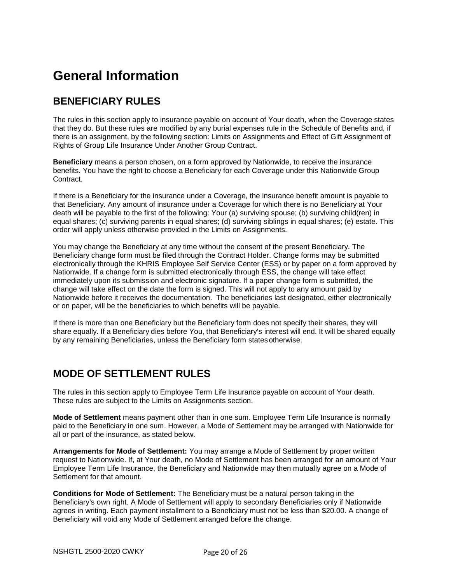# **General Information**

### **BENEFICIARY RULES**

The rules in this section apply to insurance payable on account of Your death, when the Coverage states that they do. But these rules are modified by any burial expenses rule in the Schedule of Benefits and, if there is an assignment, by the following section: Limits on Assignments and Effect of Gift Assignment of Rights of Group Life Insurance Under Another Group Contract.

**Beneficiary** means a person chosen, on a form approved by Nationwide, to receive the insurance benefits. You have the right to choose a Beneficiary for each Coverage under this Nationwide Group Contract.

If there is a Beneficiary for the insurance under a Coverage, the insurance benefit amount is payable to that Beneficiary. Any amount of insurance under a Coverage for which there is no Beneficiary at Your death will be payable to the first of the following: Your (a) surviving spouse; (b) surviving child(ren) in equal shares; (c) surviving parents in equal shares; (d) surviving siblings in equal shares; (e) estate. This order will apply unless otherwise provided in the Limits on Assignments.

You may change the Beneficiary at any time without the consent of the present Beneficiary. The Beneficiary change form must be filed through the Contract Holder. Change forms may be submitted electronically through the KHRIS Employee Self Service Center (ESS) or by paper on a form approved by Nationwide. If a change form is submitted electronically through ESS, the change will take effect immediately upon its submission and electronic signature. If a paper change form is submitted, the change will take effect on the date the form is signed. This will not apply to any amount paid by Nationwide before it receives the documentation. The beneficiaries last designated, either electronically or on paper, will be the beneficiaries to which benefits will be payable.

If there is more than one Beneficiary but the Beneficiary form does not specify their shares, they will share equally. If a Beneficiary dies before You, that Beneficiary's interest will end. It will be shared equally by any remaining Beneficiaries, unless the Beneficiary form states otherwise.

## **MODE OF SETTLEMENT RULES**

The rules in this section apply to Employee Term Life Insurance payable on account of Your death. These rules are subject to the Limits on Assignments section.

**Mode of Settlement** means payment other than in one sum. Employee Term Life Insurance is normally paid to the Beneficiary in one sum. However, a Mode of Settlement may be arranged with Nationwide for all or part of the insurance, as stated below.

**Arrangements for Mode of Settlement:** You may arrange a Mode of Settlement by proper written request to Nationwide. If, at Your death, no Mode of Settlement has been arranged for an amount of Your Employee Term Life Insurance, the Beneficiary and Nationwide may then mutually agree on a Mode of Settlement for that amount.

**Conditions for Mode of Settlement:** The Beneficiary must be a natural person taking in the Beneficiary's own right. A Mode of Settlement will apply to secondary Beneficiaries only if Nationwide agrees in writing. Each payment installment to a Beneficiary must not be less than \$20.00. A change of Beneficiary will void any Mode of Settlement arranged before the change.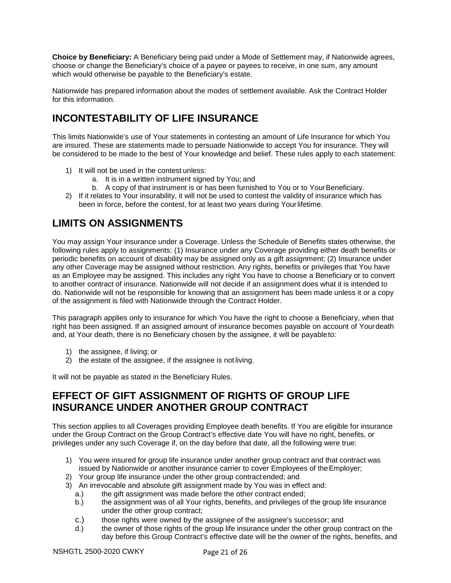**Choice by Beneficiary:** A Beneficiary being paid under a Mode of Settlement may, if Nationwide agrees, choose or change the Beneficiary's choice of a payee or payees to receive, in one sum, any amount which would otherwise be payable to the Beneficiary's estate.

Nationwide has prepared information about the modes of settlement available. Ask the Contract Holder for this information.

## **INCONTESTABILITY OF LIFE INSURANCE**

This limits Nationwide's use of Your statements in contesting an amount of Life Insurance for which You are insured. These are statements made to persuade Nationwide to accept You for insurance. They will be considered to be made to the best of Your knowledge and belief. These rules apply to each statement:

- 1) It will not be used in the contest unless:
	- a. It is in a written instrument signed by You; and
	- b. A copy of that instrument is or has been furnished to You or to Your Beneficiary.
- 2) If it relates to Your insurability, it will not be used to contest the validity of insurance which has been in force, before the contest, for at least two years during Your lifetime.

## **LIMITS ON ASSIGNMENTS**

You may assign Your insurance under a Coverage. Unless the Schedule of Benefits states otherwise, the following rules apply to assignments: (1) Insurance under any Coverage providing either death benefits or periodic benefits on account of disability may be assigned only as a gift assignment; (2) Insurance under any other Coverage may be assigned without restriction. Any rights, benefits or privileges that You have as an Employee may be assigned. This includes any right You have to choose a Beneficiary or to convert to another contract of insurance. Nationwide will not decide if an assignment does what it is intended to do. Nationwide will not be responsible for knowing that an assignment has been made unless it or a copy of the assignment is filed with Nationwide through the Contract Holder.

This paragraph applies only to insurance for which You have the right to choose a Beneficiary, when that right has been assigned. If an assigned amount of insurance becomes payable on account of Your death and, at Your death, there is no Beneficiary chosen by the assignee, it will be payable to:

- 1) the assignee, if living; or
- 2) the estate of the assignee, if the assignee is not living.

It will not be payable as stated in the Beneficiary Rules.

### **EFFECT OF GIFT ASSIGNMENT OF RIGHTS OF GROUP LIFE INSURANCE UNDER ANOTHER GROUP CONTRACT**

This section applies to all Coverages providing Employee death benefits. If You are eligible for insurance under the Group Contract on the Group Contract's effective date You will have no right, benefits, or privileges under any such Coverage if, on the day before that date, all the following were true:

- 1) You were insured for group life insurance under another group contract and that contract was issued by Nationwide or another insurance carrier to cover Employees of the Employer;
- 2) Your group life insurance under the other group contract ended; and
- 3) An irrevocable and absolute gift assignment made by You was in effect and:
	- a.) the gift assignment was made before the other contract ended;
	- b.) the assignment was of all Your rights, benefits, and privileges of the group life insurance under the other group contract;
	- c.) those rights were owned by the assignee of the assignee's successor; and
	- d.) the owner of those rights of the group life insurance under the other group contract on the day before this Group Contract's effective date will be the owner of the rights, benefits, and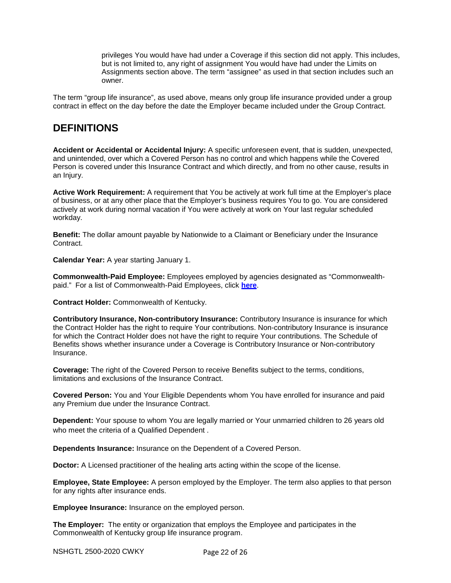privileges You would have had under a Coverage if this section did not apply. This includes, but is not limited to, any right of assignment You would have had under the Limits on Assignments section above. The term "assignee" as used in that section includes such an owner.

The term "group life insurance", as used above, means only group life insurance provided under a group contract in effect on the day before the date the Employer became included under the Group Contract.

### **DEFINITIONS**

**Accident or Accidental or Accidental Injury:** A specific unforeseen event, that is sudden, unexpected, and unintended, over which a Covered Person has no control and which happens while the Covered Person is covered under this Insurance Contract and which directly, and from no other cause, results in an Injury.

**Active Work Requirement:** A requirement that You be actively at work full time at the Employer's place of business, or at any other place that the Employer's business requires You to go. You are considered actively at work during normal vacation if You were actively at work on Your last regular scheduled workday.

**Benefit:** The dollar amount payable by Nationwide to a Claimant or Beneficiary under the Insurance Contract.

**Calendar Year:** A year starting January 1.

**Commonwealth-Paid Employee:** Employees employed by agencies designated as "Commonwealthpaid." For a list of Commonwealth-Paid Employees, click **[here](http://personnel.ky.gov/NR/rdonlyres/F0F62D5B-DF98-4EBF-AED2-069114B60AF4/0/KHRISCommonwealthPaidAgencies.pdf)**.

**Contract Holder:** Commonwealth of Kentucky.

**Contributory Insurance, Non-contributory Insurance:** Contributory Insurance is insurance for which the Contract Holder has the right to require Your contributions. Non-contributory Insurance is insurance for which the Contract Holder does not have the right to require Your contributions. The Schedule of Benefits shows whether insurance under a Coverage is Contributory Insurance or Non-contributory Insurance.

**Coverage:** The right of the Covered Person to receive Benefits subject to the terms, conditions, limitations and exclusions of the Insurance Contract.

**Covered Person:** You and Your Eligible Dependents whom You have enrolled for insurance and paid any Premium due under the Insurance Contract.

**Dependent:** Your spouse to whom You are legally married or Your unmarried children to 26 years old who meet the criteria of a Qualified Dependent .

**Dependents Insurance:** Insurance on the Dependent of a Covered Person.

**Doctor:** A Licensed practitioner of the healing arts acting within the scope of the license.

**Employee, State Employee:** A person employed by the Employer. The term also applies to that person for any rights after insurance ends.

**Employee Insurance:** Insurance on the employed person.

**The Employer:** The entity or organization that employs the Employee and participates in the Commonwealth of Kentucky group life insurance program.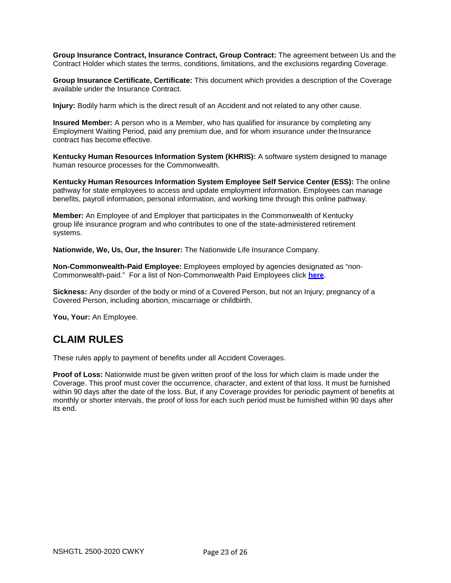**Group Insurance Contract, Insurance Contract, Group Contract:** The agreement between Us and the Contract Holder which states the terms, conditions, limitations, and the exclusions regarding Coverage.

**Group Insurance Certificate, Certificate:** This document which provides a description of the Coverage available under the Insurance Contract.

**Injury:** Bodily harm which is the direct result of an Accident and not related to any other cause.

**Insured Member:** A person who is a Member, who has qualified for insurance by completing any Employment Waiting Period, paid any premium due, and for whom insurance under the Insurance contract has become effective.

**Kentucky Human Resources Information System (KHRIS):** A software system designed to manage human resource processes for the Commonwealth.

**Kentucky Human Resources Information System Employee Self Service Center (ESS):** The online pathway for state employees to access and update employment information. Employees can manage benefits, payroll information, personal information, and working time through this online pathway.

**Member:** An Employee of and Employer that participates in the Commonwealth of Kentucky group life insurance program and who contributes to one of the state-administered retirement systems.

**Nationwide, We, Us, Our, the Insurer:** The Nationwide Life Insurance Company.

**Non-Commonwealth-Paid Employee:** Employees employed by agencies designated as "non-Commonwealth-paid." For a list of Non-Commonwealth Paid Employees click **[here](http://personnel.ky.gov/NR/rdonlyres/7A93B751-EF51-4086-A8D2-B385490C9449/0/KHRISNonCommonwealthPaid.pdf)**.

**Sickness:** Any disorder of the body or mind of a Covered Person, but not an Injury; pregnancy of a Covered Person, including abortion, miscarriage or childbirth.

**You, Your:** An Employee.

### **CLAIM RULES**

These rules apply to payment of benefits under all Accident Coverages.

**Proof of Loss:** Nationwide must be given written proof of the loss for which claim is made under the Coverage. This proof must cover the occurrence, character, and extent of that loss. It must be furnished within 90 days after the date of the loss. But, if any Coverage provides for periodic payment of benefits at monthly or shorter intervals, the proof of loss for each such period must be furnished within 90 days after its end.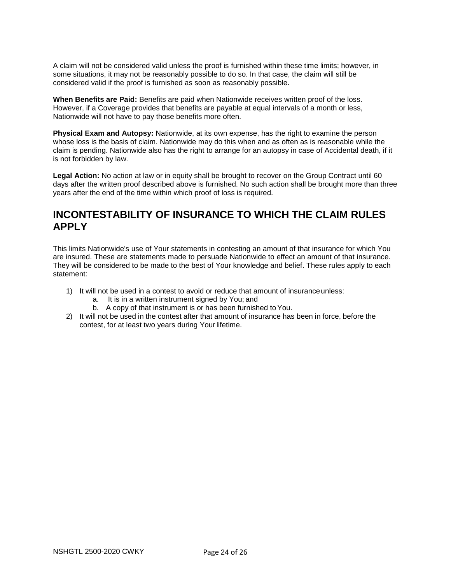A claim will not be considered valid unless the proof is furnished within these time limits; however, in some situations, it may not be reasonably possible to do so. In that case, the claim will still be considered valid if the proof is furnished as soon as reasonably possible.

**When Benefits are Paid:** Benefits are paid when Nationwide receives written proof of the loss. However, if a Coverage provides that benefits are payable at equal intervals of a month or less, Nationwide will not have to pay those benefits more often.

**Physical Exam and Autopsy:** Nationwide, at its own expense, has the right to examine the person whose loss is the basis of claim. Nationwide may do this when and as often as is reasonable while the claim is pending. Nationwide also has the right to arrange for an autopsy in case of Accidental death, if it is not forbidden by law.

**Legal Action:** No action at law or in equity shall be brought to recover on the Group Contract until 60 days after the written proof described above is furnished. No such action shall be brought more than three years after the end of the time within which proof of loss is required.

### **INCONTESTABILITY OF INSURANCE TO WHICH THE CLAIM RULES APPLY**

This limits Nationwide's use of Your statements in contesting an amount of that insurance for which You are insured. These are statements made to persuade Nationwide to effect an amount of that insurance. They will be considered to be made to the best of Your knowledge and belief. These rules apply to each statement:

- 1) It will not be used in a contest to avoid or reduce that amount of insurance unless:
	- a. It is in a written instrument signed by You; and
	- b. A copy of that instrument is or has been furnished to You.
- 2) It will not be used in the contest after that amount of insurance has been in force, before the contest, for at least two years during Your lifetime.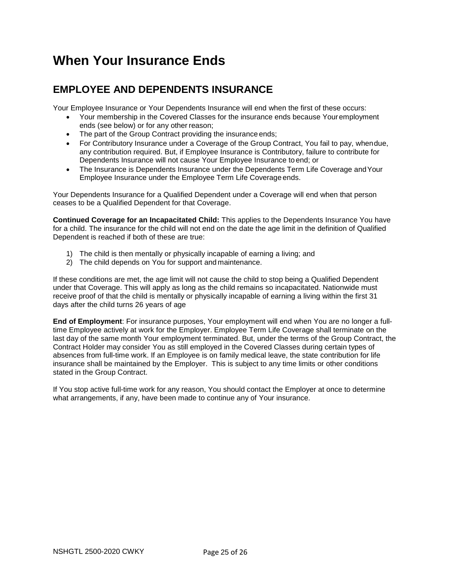# **When Your Insurance Ends**

### **EMPLOYEE AND DEPENDENTS INSURANCE**

Your Employee Insurance or Your Dependents Insurance will end when the first of these occurs:

- Your membership in the Covered Classes for the insurance ends because Your employment ends (see below) or for any other reason;
- The part of the Group Contract providing the insurance ends;
- For Contributory Insurance under a Coverage of the Group Contract, You fail to pay, when due, any contribution required. But, if Employee Insurance is Contributory, failure to contribute for Dependents Insurance will not cause Your Employee Insurance to end; or
- The Insurance is Dependents Insurance under the Dependents Term Life Coverage and Your Employee Insurance under the Employee Term Life Coverage ends.

Your Dependents Insurance for a Qualified Dependent under a Coverage will end when that person ceases to be a Qualified Dependent for that Coverage.

**Continued Coverage for an Incapacitated Child:** This applies to the Dependents Insurance You have for a child. The insurance for the child will not end on the date the age limit in the definition of Qualified Dependent is reached if both of these are true:

- 1) The child is then mentally or physically incapable of earning a living; and
- 2) The child depends on You for support and maintenance.

If these conditions are met, the age limit will not cause the child to stop being a Qualified Dependent under that Coverage. This will apply as long as the child remains so incapacitated. Nationwide must receive proof of that the child is mentally or physically incapable of earning a living within the first 31 days after the child turns 26 years of age

**End of Employment**: For insurance purposes, Your employment will end when You are no longer a fulltime Employee actively at work for the Employer. Employee Term Life Coverage shall terminate on the last day of the same month Your employment terminated. But, under the terms of the Group Contract, the Contract Holder may consider You as still employed in the Covered Classes during certain types of absences from full-time work. If an Employee is on family medical leave, the state contribution for life insurance shall be maintained by the Employer. This is subject to any time limits or other conditions stated in the Group Contract.

If You stop active full-time work for any reason, You should contact the Employer at once to determine what arrangements, if any, have been made to continue any of Your insurance.